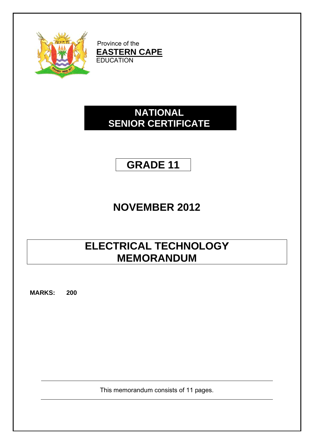

Province of the **EAS** EDUC **TERN C** CATION **CAPE**

### **SENIOR CERTIFICATE NA ATION NAL**

# **GR RADE 1 11**

# **NOVE EMBER R 2012 2**

## **ELECTRICAL TECHNOLOGY MEMORANDUM**

**MARKS: 200**

This memorandum consists of 11 pages.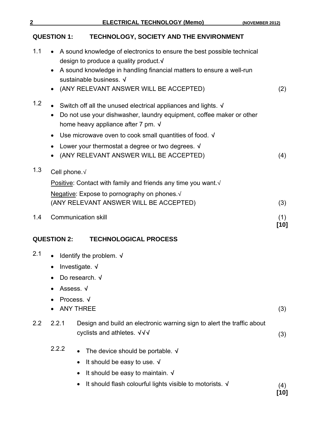### **QUESTION 1: TECHNOLOGY, SOCIETY AND THE ENVIRONMENT**

| 1.1              | • A sound knowledge of electronics to ensure the best possible technical<br>design to produce a quality product √<br>A sound knowledge in handling financial matters to ensure a well-run<br>sustainable business. √<br>(ANY RELEVANT ANSWER WILL BE ACCEPTED)                                                                                                                | (2)           |
|------------------|-------------------------------------------------------------------------------------------------------------------------------------------------------------------------------------------------------------------------------------------------------------------------------------------------------------------------------------------------------------------------------|---------------|
| 1.2              | • Switch off all the unused electrical appliances and lights. $\sqrt{ }$<br>Do not use your dishwasher, laundry equipment, coffee maker or other<br>home heavy appliance after 7 pm. √<br>Use microwave oven to cook small quantities of food. $\sqrt{ }$<br>$\bullet$<br>Lower your thermostat a degree or two degrees. $\sqrt{ }$<br>(ANY RELEVANT ANSWER WILL BE ACCEPTED) | (4)           |
| 1.3              | Cell phone. V<br>Positive: Contact with family and friends any time you want. $\sqrt{ }$<br>Negative: Expose to pornography on phones. V<br>(ANY RELEVANT ANSWER WILL BE ACCEPTED)                                                                                                                                                                                            | (3)           |
| 1.4              | <b>Communication skill</b>                                                                                                                                                                                                                                                                                                                                                    | (1)<br>$[10]$ |
|                  | <b>QUESTION 2:</b><br><b>TECHNOLOGICAL PROCESS</b>                                                                                                                                                                                                                                                                                                                            |               |
| 2.1              | Identify the problem. $\sqrt{ }$<br>Investigate. $\sqrt{ }$<br>Do research. $\sqrt{ }$<br>Assess. √<br>Process. √<br><b>ANY THREE</b>                                                                                                                                                                                                                                         | (3)           |
| $2.2\phantom{0}$ | Design and build an electronic warning sign to alert the traffic about<br>2.2.1<br>cyclists and athletes. √√√                                                                                                                                                                                                                                                                 | (3)           |
|                  | 2.2.2<br>The device should be portable. $\sqrt{}$<br>It should be easy to use. $\sqrt{ }$<br>It should be easy to maintain. $\sqrt{ }$<br>It should flash colourful lights visible to motorists. √                                                                                                                                                                            | (4)<br>[10]   |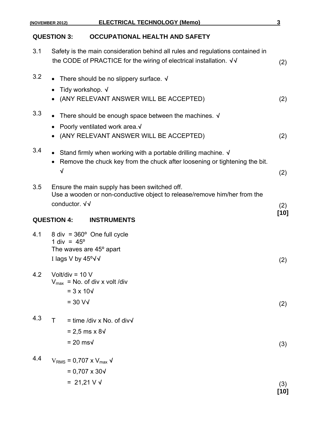|     | <b>ELECTRICAL TECHNOLOGY (Memo)</b><br>(NOVEMBER 2012)                                                                                                               | 3           |  |
|-----|----------------------------------------------------------------------------------------------------------------------------------------------------------------------|-------------|--|
|     | <b>QUESTION 3:</b><br><b>OCCUPATIONAL HEALTH AND SAFETY</b>                                                                                                          |             |  |
| 3.1 | Safety is the main consideration behind all rules and regulations contained in<br>the CODE of PRACTICE for the wiring of electrical installation. √√                 | (2)         |  |
| 3.2 | • There should be no slippery surface. $\sqrt{ }$<br>Tidy workshop. √<br>(ANY RELEVANT ANSWER WILL BE ACCEPTED)                                                      | (2)         |  |
| 3.3 | There should be enough space between the machines. $\sqrt{ }$<br>Poorly ventilated work area.√<br>(ANY RELEVANT ANSWER WILL BE ACCEPTED)                             | (2)         |  |
| 3.4 | • Stand firmly when working with a portable drilling machine. $\sqrt{ }$<br>Remove the chuck key from the chuck after loosening or tightening the bit.<br>$\sqrt{ }$ | (2)         |  |
| 3.5 | Ensure the main supply has been switched off.<br>Use a wooden or non-conductive object to release/remove him/her from the<br>conductor. √√                           | (2)         |  |
|     | <b>QUESTION 4:</b><br><b>INSTRUMENTS</b>                                                                                                                             | [10]        |  |
| 4.1 | $8$ div = $360^\circ$ One full cycle<br>1 div = $45^{\circ}$<br>The waves are 45° apart<br>I lags V by 45°√√                                                         | (2)         |  |
| 4.2 | Volt/div = $10 V$<br>$V_{\text{max}}$ = No. of div x volt /div<br>$= 3 \times 10\sqrt{ }$<br>$=$ 30 V $\sqrt{ }$                                                     |             |  |
| 4.3 | $=$ time /div x No. of div $\sqrt{}$<br>т<br>$= 2.5 \text{ ms} \times 8\sqrt{ }$                                                                                     | (2)         |  |
|     | $= 20$ ms $\sqrt{ }$                                                                                                                                                 | (3)         |  |
| 4.4 | $V_{RMS}$ = 0,707 x $V_{max}$ $\sqrt{ }$<br>$= 0,707 \times 30\sqrt{ }$                                                                                              |             |  |
|     | $= 21,21 \vee \sqrt{2}$                                                                                                                                              | (3)<br>[10] |  |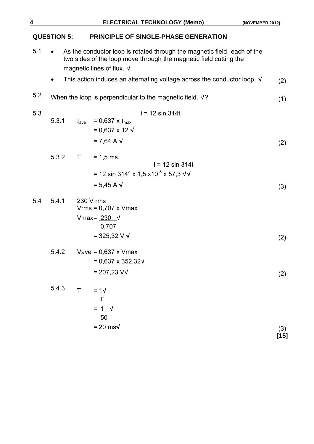**QUESTION 5: PRINCIPLE OF SINGLE-PHASE GENERATION** 5.1 • As the conductor loop is rotated through the magnetic field, each of the two sides of the loop move through the magnetic field cutting the magnetic lines of flux. **√**  This action induces an alternating voltage across the conductor loop. **√** (2) 5.2 When the loop is perpendicular to the magnetic field. **√**? (1) 5.3 i = 12 sin 314t 5.3.1  $I_{ave} = 0.637 \times I_{max}$  = 0,637 x 12 **√** = 7,64 A **√** (2) 5.3.2  $T = 1.5$  ms. i = 12 sin 314t = 12 sin 314° x 1,5 x10-3 x 57,3 **√√** = 5,45 A **√** (3) 5.4 5.4.1 230 V rms Vrms = 0,707 x Vmax Vmax = 230 **√**  0,707 = 325,32 V **√** (2) 5.4.2 Vave = 0,637 x Vmax = 0,637 x 352,32**√** = 207,23 V**√** (2) 5.4.3 T =  $1/\sqrt{ }$  F  $= 1^{\circ}$  50 = 20 ms**√** (3) **[15]**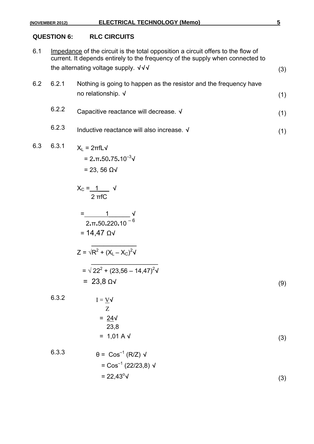#### **QUESTION 6: RLC CIRCUITS**

6.1 Impedance of the circuit is the total opposition a circuit offers to the flow of current. It depends entirely to the frequency of the supply when connected to the alternating voltage supply. **√√√** (3)

| 6.2 | 6.2.1 | Nothing is going to happen as the resistor and the frequency have |  |  |  |
|-----|-------|-------------------------------------------------------------------|--|--|--|
|     |       | no relationship. $\sqrt{ }$                                       |  |  |  |

- 6.2.2 Capacitive reactance will decrease.**<sup>√</sup>** (1)
- 6.2.3 Inductive reactance will also increase.**<sup>√</sup>** (1)

### 6.3 6.3.1  $X_L = 2\pi f L \sqrt{2}$

$$
= 2. \pi . 50.75.10^{-3} \text{V}
$$

$$
= 23,56 \text{ }\Omega \text{V}
$$

XC = 1\_\_\_ **√** 2 πfC

$$
=\frac{1}{2 \cdot \pi \cdot 50.220 \cdot 10^{-6}}
$$
  
= 14,47  $\Omega$ 

 $\frac{1}{\sqrt{2}}$  ,  $\frac{1}{\sqrt{2}}$  ,  $\frac{1}{\sqrt{2}}$  ,  $\frac{1}{\sqrt{2}}$  ,  $\frac{1}{\sqrt{2}}$  ,  $\frac{1}{\sqrt{2}}$  ,  $\frac{1}{\sqrt{2}}$ 

$$
Z = \sqrt{R^2 + (X_L - X_C)^2} \sqrt{\frac{4}{2}} = \sqrt{22^2 + (23.56 - 14.47)^2} \sqrt{\frac{4}{2}} = 23.8 \text{ }\Omega \sqrt{\frac{4}{2}} = 23.8 \text{ }\Omega \sqrt{\frac{4}{2}} = 23.8 \text{ }\Omega \sqrt{\frac{4}{2}} = 23.8 \text{ }\Omega \sqrt{\frac{4}{2}} = 23.8 \text{ }\Omega \sqrt{\frac{4}{2}} = 23.8 \text{ }\Omega \sqrt{\frac{4}{2}} = 23.8 \text{ }\Omega \sqrt{\frac{4}{2}} = 23.8 \text{ }\Omega \sqrt{\frac{4}{2}} = 23.8 \text{ }\Omega \sqrt{\frac{4}{2}} = 23.8 \text{ }\Omega \sqrt{\frac{4}{2}} = 23.8 \text{ }\Omega \sqrt{\frac{4}{2}} = 23.8 \text{ }\Omega \sqrt{\frac{4}{2}} = 23.8 \text{ }\Omega \sqrt{\frac{4}{2}} = 23.8 \text{ }\Omega \sqrt{\frac{4}{2}} = 23.8 \text{ }\Omega \sqrt{\frac{4}{2}} = 23.8 \text{ }\Omega \sqrt{\frac{4}{2}} = 23.8 \text{ }\Omega \sqrt{\frac{4}{2}} = 23.8 \text{ }\Omega \sqrt{\frac{4}{2}} = 23.8 \text{ }\Omega \sqrt{\frac{4}{2}} = 23.8 \text{ }\Omega \sqrt{\frac{4}{2}} = 23.8 \text{ }\Omega \sqrt{\frac{4}{2}} = 23.8 \text{ }\Omega \sqrt{\frac{4}{2}} = 23.8 \text{ }\Omega \sqrt{\frac{4}{2}} = 23.8 \text{ }\Omega \sqrt{\frac{4}{2}} = 23.8 \text{ }\Omega \sqrt{\frac{4}{2}} = 23.8 \text{ }\Omega \sqrt{\frac{4}{2}} = 23.8 \text{ }\Omega \sqrt{\frac{4}{2}} = 23.8 \text{ }\Omega \sqrt{\frac{4}{2}} = 23.8 \text{ }\Omega \sqrt{\frac{4}{2}} = 23.8 \text{ }\Omega \sqrt{\frac{4}{2}} = 23.8 \text{ }\Omega \sqrt{\frac{4}{2}} = 23.8 \text{ }\Omega \sqrt{\frac{4}{2}} = 23.8 \text{ }\Omega \sqrt{\frac{4}{2}} = 23.8 \text{ }\Omega \sqrt{\frac{4}{2}} = 23.8 \text{ }\Omega \sqrt{\frac{4}{
$$

$$
I = \frac{V}{Z}
$$
  
=  $\frac{24}{V}$   
= 23.8  
= 1,01 A V (3)

6.3.3 
$$
\theta = \text{Cos}^{-1} (R/Z) \sqrt{}
$$

$$
= \cos^{-1}(22/23.8) \sqrt{ }
$$
  
= 22.43<sup>o</sup> $\sqrt{ }$  (3)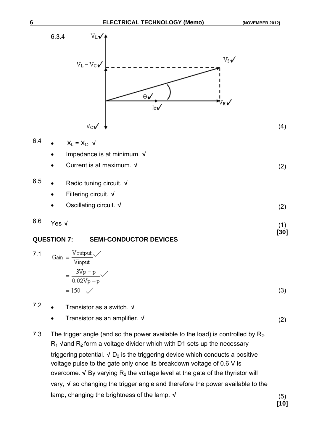

$$
6.4 \qquad \bullet \qquad X_L = X_C. \ \ \sqrt{}
$$

- Impedance is at minimum. **√**
- Current is at maximum. **√** (2)
- 6.5 Radio tuning circuit. **√**
	- Filtering circuit. **√**
	- Oscillating circuit. **√** (2)

6.6 Yes**<sup>√</sup>** (1)

#### **[30] QUESTION 7: SEMI-CONDUCTOR DEVICES**

7.1 Gain = 
$$
\frac{\text{Voutput}}{\text{Vinput}}
$$
  
= 
$$
\frac{3\text{Vp} - \text{p}}{0.02\text{Vp} - \text{p}}
$$
  
= 150  $\checkmark$  (3)

- 7.2 Transistor as a switch. **√**
	- Transistor as an amplifier. **√** (2)
- 7.3 The trigger angle (and so the power available to the load) is controlled by  $R_2$ . R<sub>1</sub> √and R<sub>2</sub> form a voltage divider which with D1 sets up the necessary triggering potential.  $\sqrt{D_2}$  is the triggering device which conducts a positive voltage pulse to the gate only once its breakdown voltage of 0.6 V is overcome.  $\sqrt{}$  By varying  $R_2$  the voltage level at the gate of the thyristor will vary, **√** so changing the trigger angle and therefore the power available to the lamp, changing the brightness of the lamp. **√** (5)

**[10]**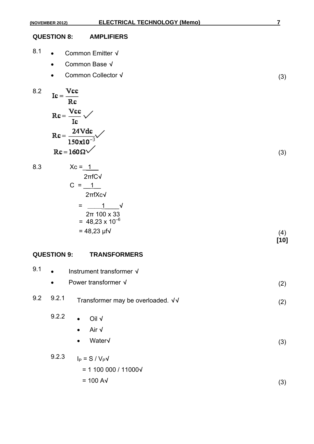#### **QUESTION 8: AMPLIFIERS**

- 8.1 Common Emitter **√**
	- Common Base **√**
	- Common Collector **√** (3)

8.2 
$$
Ic = \frac{Vcc}{Rc}
$$

$$
Rc = \frac{Vcc}{Ic} \sqrt{}
$$

$$
Rc = \frac{24Vdc}{150x10^{-3}} \sqrt{}
$$

$$
Rc = 160 \Omega \sqrt{}
$$

 $8.3$ 

$$
Rc = 160 \Omega \checkmark
$$
  
\n
$$
Xc = 1
$$
  
\n
$$
2 \pi f C \checkmark
$$
  
\n
$$
C = 1
$$
  
\n
$$
2 \pi f X c \checkmark
$$
  
\n
$$
= 1
$$
  
\n
$$
2 \pi 100 \times 33
$$
  
\n
$$
= 48,23 \times 10^{-6}
$$
  
\n
$$
= 48,23 \text{ pf} \checkmark
$$
  
\n(4)

**[10]** 

#### **QUESTION 9: TRANSFORMERS**

| 9.1<br>Instrument transformer √<br>$\bullet$ |           |                                                                       |     |
|----------------------------------------------|-----------|-----------------------------------------------------------------------|-----|
|                                              | $\bullet$ | Power transformer √                                                   | (2) |
| 9.2                                          | 9.2.1     | Transformer may be overloaded. √√                                     | (2) |
|                                              | 9.2.2     | Oil $\sqrt$<br>$\bullet$<br>Air √<br>$\bullet$<br>Water√<br>$\bullet$ | (3) |
|                                              | 9.2.3     | $I_P = S / V_P V$<br>$= 1100000 / 11000 \sqrt{11000}$                 |     |
|                                              |           | $= 100 A\sqrt{ }$                                                     | (3) |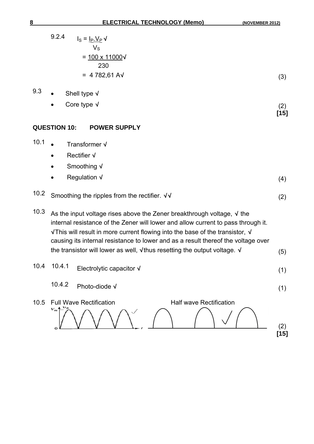|      | 9.2.4<br>$I_S = I_P \underline{V_P} V$                                                                                                                                                                                                                                                                                                   |               |
|------|------------------------------------------------------------------------------------------------------------------------------------------------------------------------------------------------------------------------------------------------------------------------------------------------------------------------------------------|---------------|
|      | $V_{\rm S}$                                                                                                                                                                                                                                                                                                                              |               |
|      | $= 100 \times 11000 \sqrt{ }$<br>230                                                                                                                                                                                                                                                                                                     |               |
|      | $= 4782,61 AV$                                                                                                                                                                                                                                                                                                                           | (3)           |
| 9.3  | Shell type $\sqrt{}$                                                                                                                                                                                                                                                                                                                     |               |
|      | Core type $\sqrt{}$                                                                                                                                                                                                                                                                                                                      | (2)           |
|      |                                                                                                                                                                                                                                                                                                                                          | $[15]$        |
|      | <b>QUESTION 10:</b><br><b>POWER SUPPLY</b>                                                                                                                                                                                                                                                                                               |               |
| 10.1 | Transformer V                                                                                                                                                                                                                                                                                                                            |               |
|      | <b>Rectifier √</b><br>$\bullet$                                                                                                                                                                                                                                                                                                          |               |
|      | Smoothing √<br>$\bullet$                                                                                                                                                                                                                                                                                                                 |               |
|      | Regulation $\sqrt{}$                                                                                                                                                                                                                                                                                                                     | (4)           |
| 10.2 | Smoothing the ripples from the rectifier. √√                                                                                                                                                                                                                                                                                             | (2)           |
| 10.3 | As the input voltage rises above the Zener breakthrough voltage, $\sqrt{}$ the<br>internal resistance of the Zener will lower and allow current to pass through it.<br>√This will result in more current flowing into the base of the transistor, √<br>causing its internal resistance to lower and as a result thereof the voltage over |               |
|      | the transistor will lower as well, $\sqrt{ }$ thus resetting the output voltage. $\sqrt{ }$                                                                                                                                                                                                                                              | (5)           |
| 10.4 | 10.4.1 Electrolytic capacitor $\sqrt{ }$                                                                                                                                                                                                                                                                                                 | (1)           |
|      | 10.4.2<br>Photo-diode √                                                                                                                                                                                                                                                                                                                  | (1)           |
| 10.5 | <b>Half wave Rectification</b><br><b>Full Wave Rectification</b><br>$V_m$<br>О                                                                                                                                                                                                                                                           | (2)<br>$[15]$ |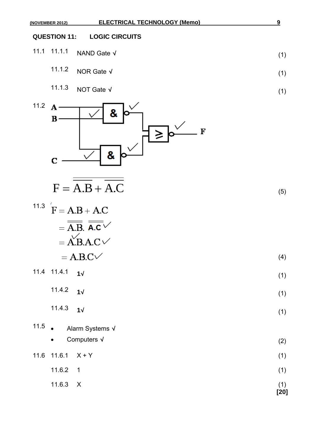### **QUESTION 11: LOGIC CIRCUITS**

- 11.1 11.1.1 NAND Gate**<sup>√</sup>** (1)
	- 11.1.2 NOR Gate**<sup>√</sup>** (1)
	- 11.1.3 NOT Gate**<sup>√</sup>** (1)



$$
F = \overline{A.B} + \overline{A.C}
$$
 (5)

(4)

| <sup>11.3</sup> $F = A.B + A.C$            |  |
|--------------------------------------------|--|
| $=\overline{A.B.}$ $\overline{A.c}$ $\vee$ |  |
| $=$ A.B.A.C $\vee$                         |  |
| $= A.B.C.$                                 |  |

| 11.4 11.4.1 $1\sqrt{ }$ |  |  |  |
|-------------------------|--|--|--|
|                         |  |  |  |

- 11.4.2 **1<sup>√</sup>** (1)
- 11.4.3 **1<sup>√</sup>** (1)
- 11.5  $\bullet$ 11.5 Alarm Systems **√** Computers **√** (2)
- 11.6 11.6.1  $X + Y$  (1)  $11.6.2 \quad 1$  (1)
- $11.6.3 \quad X$  (1) **[20]**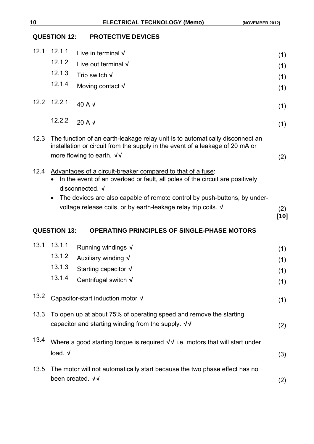#### **QUESTION 12: PROTECTIVE DEVICES**

| 12.1 | 12.1.1                                                                                                                                  | Live in terminal $\sqrt{}$                                                                                                                                                                                                                   | (1)           |  |
|------|-----------------------------------------------------------------------------------------------------------------------------------------|----------------------------------------------------------------------------------------------------------------------------------------------------------------------------------------------------------------------------------------------|---------------|--|
|      | 12.1.2                                                                                                                                  | Live out terminal $\sqrt{}$                                                                                                                                                                                                                  | (1)           |  |
|      | 12.1.3                                                                                                                                  | Trip switch $\sqrt{}$                                                                                                                                                                                                                        | (1)           |  |
|      | 12.1.4                                                                                                                                  | Moving contact $\sqrt{}$                                                                                                                                                                                                                     | (1)           |  |
| 12.2 | 12.2.1                                                                                                                                  | 40 A V                                                                                                                                                                                                                                       | (1)           |  |
|      | 12.2.2                                                                                                                                  | $20 A \sqrt{ }$                                                                                                                                                                                                                              | (1)           |  |
| 12.3 |                                                                                                                                         | The function of an earth-leakage relay unit is to automatically disconnect an<br>installation or circuit from the supply in the event of a leakage of 20 mA or<br>more flowing to earth. $\sqrt{v}$                                          | (2)           |  |
| 12.4 |                                                                                                                                         | Advantages of a circuit-breaker compared to that of a fuse:<br>In the event of an overload or fault, all poles of the circuit are positively<br>disconnected. √<br>The devices are also capable of remote control by push-buttons, by under- |               |  |
|      |                                                                                                                                         | voltage release coils, or by earth-leakage relay trip coils. V                                                                                                                                                                               | (2)<br>$[10]$ |  |
|      | <b>QUESTION 13:</b>                                                                                                                     | <b>OPERATING PRINCIPLES OF SINGLE-PHASE MOTORS</b>                                                                                                                                                                                           |               |  |
| 13.1 | 13.1.1                                                                                                                                  | Running windings √                                                                                                                                                                                                                           | (1)           |  |
|      | 13.1.2                                                                                                                                  | Auxiliary winding √                                                                                                                                                                                                                          | (1)           |  |
|      | 13.1.3                                                                                                                                  | Starting capacitor $\sqrt{ }$                                                                                                                                                                                                                | (1)           |  |
|      | 13.1.4                                                                                                                                  | Centrifugal switch √                                                                                                                                                                                                                         | (1)           |  |
| 13.2 | Capacitor-start induction motor √<br>(1)                                                                                                |                                                                                                                                                                                                                                              |               |  |
| 13.3 | To open up at about 75% of operating speed and remove the starting<br>capacitor and starting winding from the supply. $\sqrt{v}$<br>(2) |                                                                                                                                                                                                                                              |               |  |
| 13.4 | Where a good starting torque is required $\sqrt{v}$ i.e. motors that will start under<br>load. V                                        |                                                                                                                                                                                                                                              |               |  |
|      |                                                                                                                                         |                                                                                                                                                                                                                                              | (3)           |  |